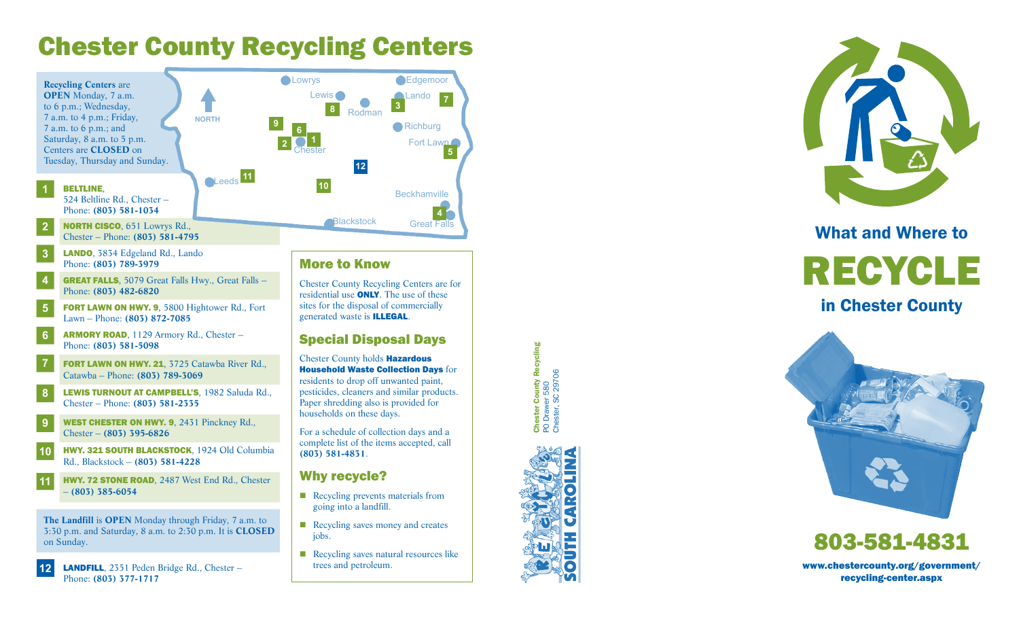# Chester County Recycling Centers



Chester County Recycling Centers are for residential use **ONLY**. The use of these sites for the disposal of commercially

**75**

 $\overline{7}$ 

**4**

#### Special Disposal Days

Household Waste Collection Days for residents to drop off unwanted paint, pesticides, cleaners and similar products. Paper shredding also is provided for

Chester County Recycling Chester County Recycling<br>PO Drawer 580<br>Chester, SC 29706 Chester, SC 29706PO Drawer 580



# What and Where to



in Chester County



# 803-581-4831

www.chestercounty.org/government/ recycling-center.aspx